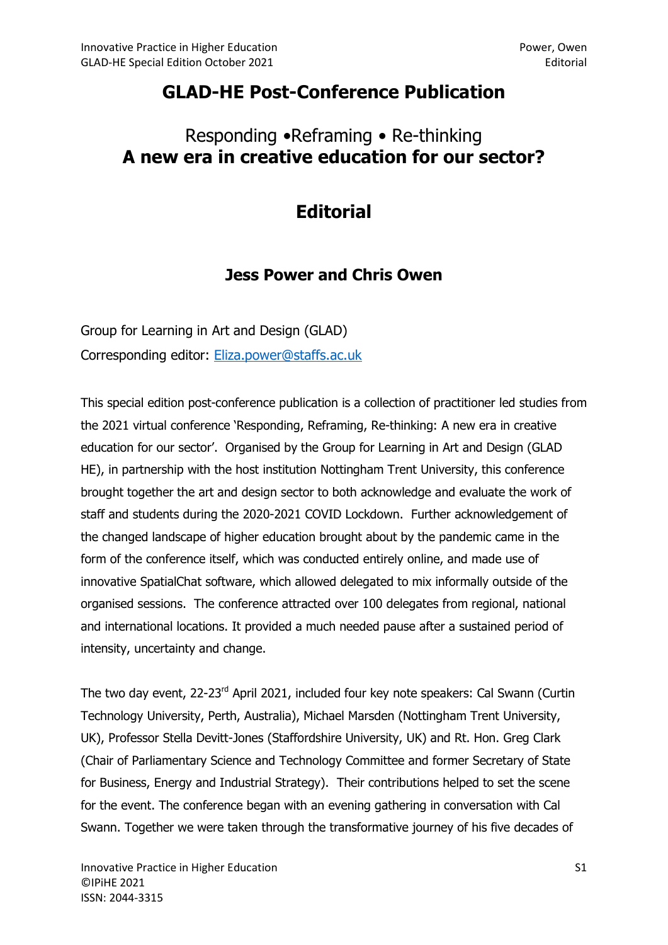## GLAD-HE Post-Conference Publication

## Responding •Reframing • Re-thinking A new era in creative education for our sector?

## **Editorial**

## Jess Power and Chris Owen

Group for Learning in Art and Design (GLAD) Corresponding editor: Eliza.power@staffs.ac.uk

This special edition post-conference publication is a collection of practitioner led studies from the 2021 virtual conference 'Responding, Reframing, Re-thinking: A new era in creative education for our sector'. Organised by the Group for Learning in Art and Design (GLAD HE), in partnership with the host institution Nottingham Trent University, this conference brought together the art and design sector to both acknowledge and evaluate the work of staff and students during the 2020-2021 COVID Lockdown. Further acknowledgement of the changed landscape of higher education brought about by the pandemic came in the form of the conference itself, which was conducted entirely online, and made use of innovative SpatialChat software, which allowed delegated to mix informally outside of the organised sessions. The conference attracted over 100 delegates from regional, national and international locations. It provided a much needed pause after a sustained period of intensity, uncertainty and change.

The two day event, 22-23<sup>rd</sup> April 2021, included four key note speakers: Cal Swann (Curtin Technology University, Perth, Australia), Michael Marsden (Nottingham Trent University, UK), Professor Stella Devitt-Jones (Staffordshire University, UK) and Rt. Hon. Greg Clark (Chair of Parliamentary Science and Technology Committee and former Secretary of State for Business, Energy and Industrial Strategy). Their contributions helped to set the scene for the event. The conference began with an evening gathering in conversation with Cal Swann. Together we were taken through the transformative journey of his five decades of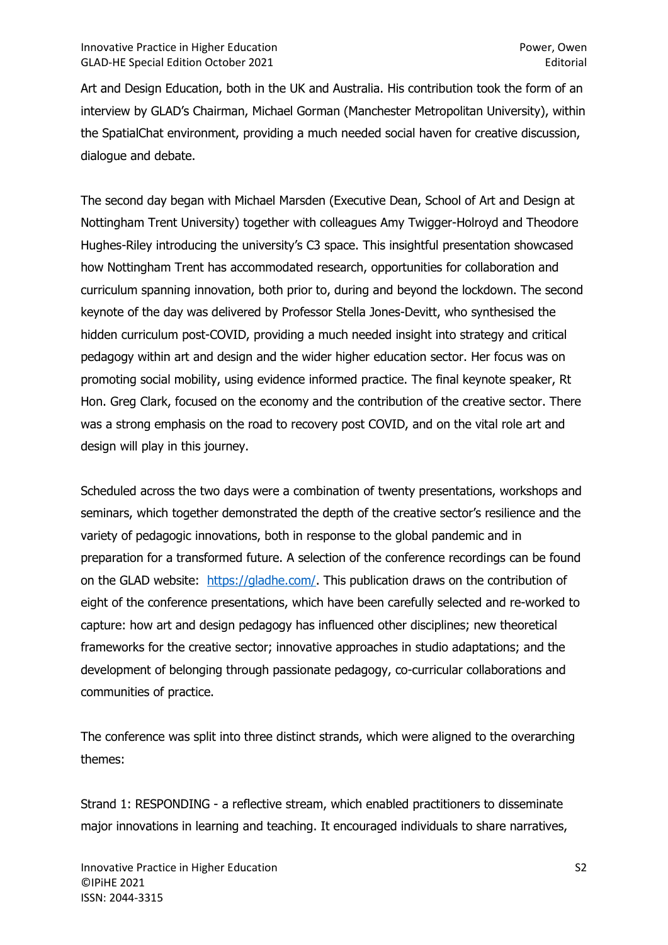Art and Design Education, both in the UK and Australia. His contribution took the form of an interview by GLAD's Chairman, Michael Gorman (Manchester Metropolitan University), within the SpatialChat environment, providing a much needed social haven for creative discussion, dialogue and debate.

The second day began with Michael Marsden (Executive Dean, School of Art and Design at Nottingham Trent University) together with colleagues Amy Twigger-Holroyd and Theodore Hughes-Riley introducing the university's C3 space. This insightful presentation showcased how Nottingham Trent has accommodated research, opportunities for collaboration and curriculum spanning innovation, both prior to, during and beyond the lockdown. The second keynote of the day was delivered by Professor Stella Jones-Devitt, who synthesised the hidden curriculum post-COVID, providing a much needed insight into strategy and critical pedagogy within art and design and the wider higher education sector. Her focus was on promoting social mobility, using evidence informed practice. The final keynote speaker, Rt Hon. Greg Clark, focused on the economy and the contribution of the creative sector. There was a strong emphasis on the road to recovery post COVID, and on the vital role art and design will play in this journey.

Scheduled across the two days were a combination of twenty presentations, workshops and seminars, which together demonstrated the depth of the creative sector's resilience and the variety of pedagogic innovations, both in response to the global pandemic and in preparation for a transformed future. A selection of the conference recordings can be found on the GLAD website: https://gladhe.com/. This publication draws on the contribution of eight of the conference presentations, which have been carefully selected and re-worked to capture: how art and design pedagogy has influenced other disciplines; new theoretical frameworks for the creative sector; innovative approaches in studio adaptations; and the development of belonging through passionate pedagogy, co-curricular collaborations and communities of practice.

The conference was split into three distinct strands, which were aligned to the overarching themes:

Strand 1: RESPONDING - a reflective stream, which enabled practitioners to disseminate major innovations in learning and teaching. It encouraged individuals to share narratives,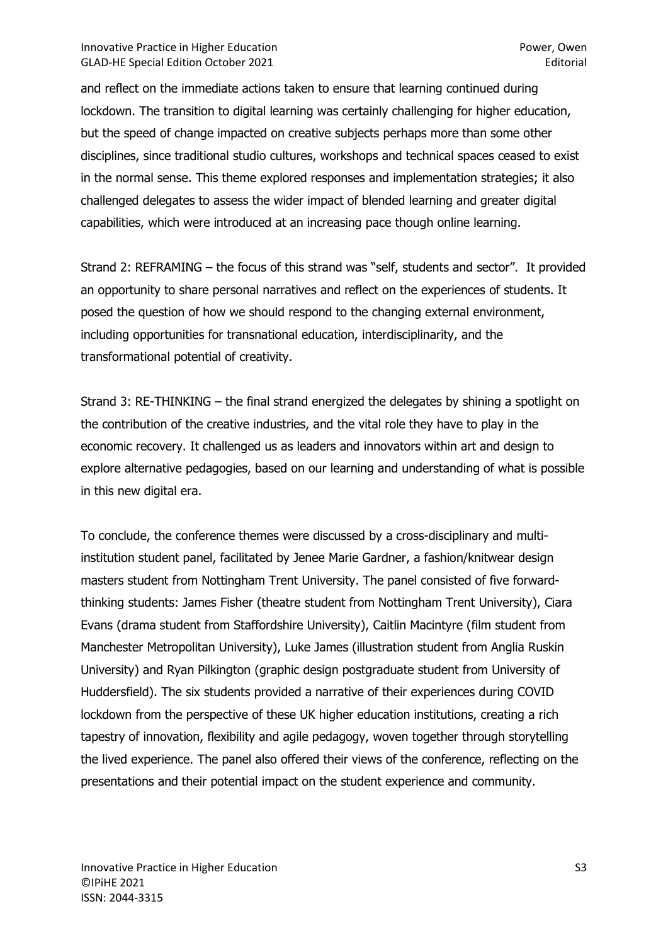and reflect on the immediate actions taken to ensure that learning continued during lockdown. The transition to digital learning was certainly challenging for higher education, but the speed of change impacted on creative subjects perhaps more than some other disciplines, since traditional studio cultures, workshops and technical spaces ceased to exist in the normal sense. This theme explored responses and implementation strategies; it also challenged delegates to assess the wider impact of blended learning and greater digital capabilities, which were introduced at an increasing pace though online learning.

Strand 2: REFRAMING – the focus of this strand was "self, students and sector". It provided an opportunity to share personal narratives and reflect on the experiences of students. It posed the question of how we should respond to the changing external environment, including opportunities for transnational education, interdisciplinarity, and the transformational potential of creativity.

Strand 3: RE-THINKING – the final strand energized the delegates by shining a spotlight on the contribution of the creative industries, and the vital role they have to play in the economic recovery. It challenged us as leaders and innovators within art and design to explore alternative pedagogies, based on our learning and understanding of what is possible in this new digital era.

To conclude, the conference themes were discussed by a cross-disciplinary and multiinstitution student panel, facilitated by Jenee Marie Gardner, a fashion/knitwear design masters student from Nottingham Trent University. The panel consisted of five forwardthinking students: James Fisher (theatre student from Nottingham Trent University), Ciara Evans (drama student from Staffordshire University), Caitlin Macintyre (film student from Manchester Metropolitan University), Luke James (illustration student from Anglia Ruskin University) and Ryan Pilkington (graphic design postgraduate student from University of Huddersfield). The six students provided a narrative of their experiences during COVID lockdown from the perspective of these UK higher education institutions, creating a rich tapestry of innovation, flexibility and agile pedagogy, woven together through storytelling the lived experience. The panel also offered their views of the conference, reflecting on the presentations and their potential impact on the student experience and community.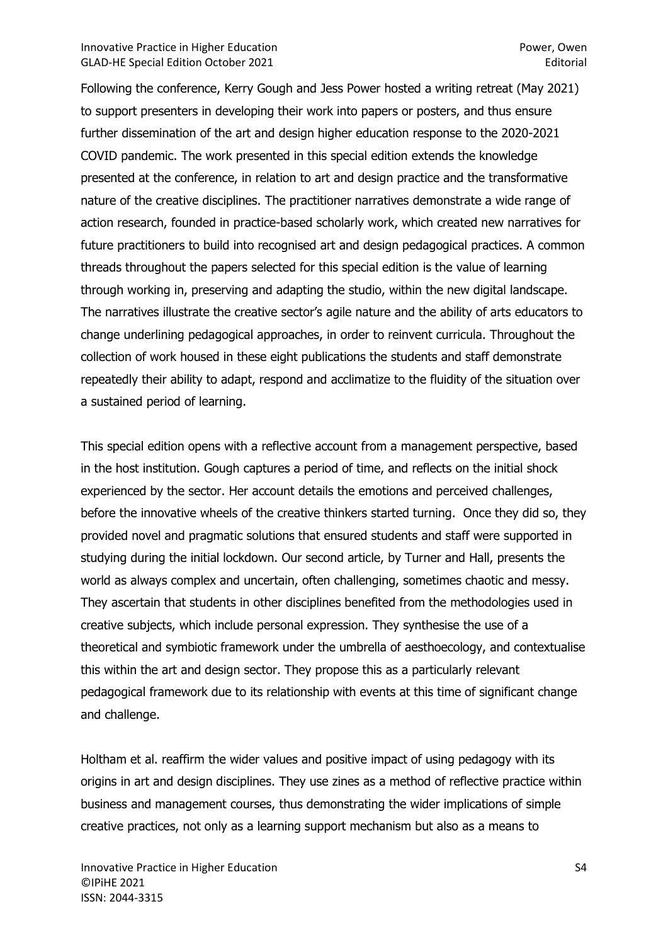Following the conference, Kerry Gough and Jess Power hosted a writing retreat (May 2021) to support presenters in developing their work into papers or posters, and thus ensure further dissemination of the art and design higher education response to the 2020-2021 COVID pandemic. The work presented in this special edition extends the knowledge presented at the conference, in relation to art and design practice and the transformative nature of the creative disciplines. The practitioner narratives demonstrate a wide range of action research, founded in practice-based scholarly work, which created new narratives for future practitioners to build into recognised art and design pedagogical practices. A common threads throughout the papers selected for this special edition is the value of learning through working in, preserving and adapting the studio, within the new digital landscape. The narratives illustrate the creative sector's agile nature and the ability of arts educators to change underlining pedagogical approaches, in order to reinvent curricula. Throughout the collection of work housed in these eight publications the students and staff demonstrate repeatedly their ability to adapt, respond and acclimatize to the fluidity of the situation over a sustained period of learning.

This special edition opens with a reflective account from a management perspective, based in the host institution. Gough captures a period of time, and reflects on the initial shock experienced by the sector. Her account details the emotions and perceived challenges, before the innovative wheels of the creative thinkers started turning. Once they did so, they provided novel and pragmatic solutions that ensured students and staff were supported in studying during the initial lockdown. Our second article, by Turner and Hall, presents the world as always complex and uncertain, often challenging, sometimes chaotic and messy. They ascertain that students in other disciplines benefited from the methodologies used in creative subjects, which include personal expression. They synthesise the use of a theoretical and symbiotic framework under the umbrella of aesthoecology, and contextualise this within the art and design sector. They propose this as a particularly relevant pedagogical framework due to its relationship with events at this time of significant change and challenge.

Holtham et al. reaffirm the wider values and positive impact of using pedagogy with its origins in art and design disciplines. They use zines as a method of reflective practice within business and management courses, thus demonstrating the wider implications of simple creative practices, not only as a learning support mechanism but also as a means to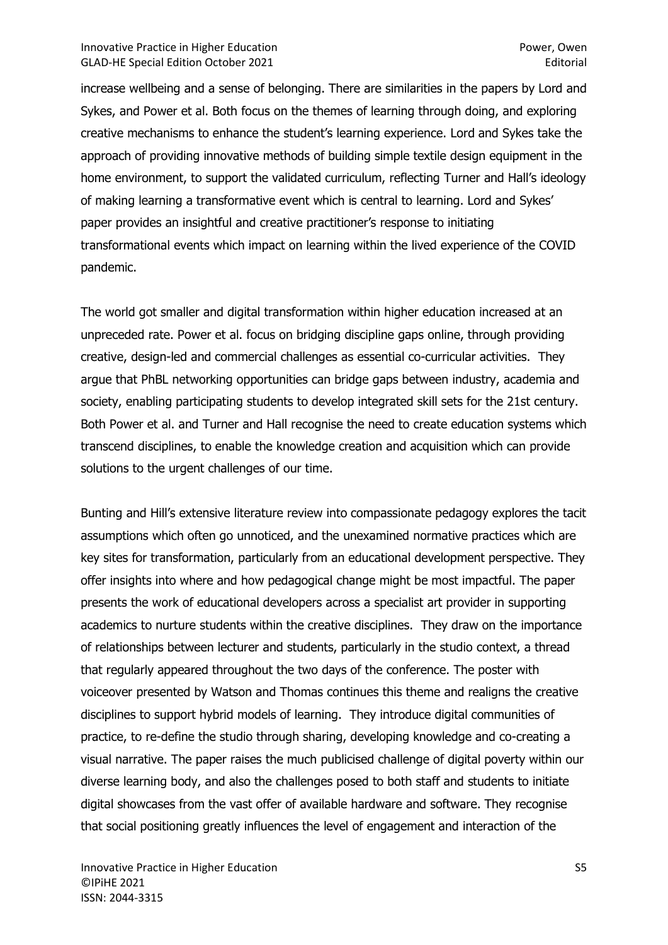increase wellbeing and a sense of belonging. There are similarities in the papers by Lord and Sykes, and Power et al. Both focus on the themes of learning through doing, and exploring creative mechanisms to enhance the student's learning experience. Lord and Sykes take the approach of providing innovative methods of building simple textile design equipment in the home environment, to support the validated curriculum, reflecting Turner and Hall's ideology of making learning a transformative event which is central to learning. Lord and Sykes' paper provides an insightful and creative practitioner's response to initiating transformational events which impact on learning within the lived experience of the COVID pandemic.

The world got smaller and digital transformation within higher education increased at an unpreceded rate. Power et al. focus on bridging discipline gaps online, through providing creative, design-led and commercial challenges as essential co-curricular activities. They argue that PhBL networking opportunities can bridge gaps between industry, academia and society, enabling participating students to develop integrated skill sets for the 21st century. Both Power et al. and Turner and Hall recognise the need to create education systems which transcend disciplines, to enable the knowledge creation and acquisition which can provide solutions to the urgent challenges of our time.

Bunting and Hill's extensive literature review into compassionate pedagogy explores the tacit assumptions which often go unnoticed, and the unexamined normative practices which are key sites for transformation, particularly from an educational development perspective. They offer insights into where and how pedagogical change might be most impactful. The paper presents the work of educational developers across a specialist art provider in supporting academics to nurture students within the creative disciplines. They draw on the importance of relationships between lecturer and students, particularly in the studio context, a thread that regularly appeared throughout the two days of the conference. The poster with voiceover presented by Watson and Thomas continues this theme and realigns the creative disciplines to support hybrid models of learning. They introduce digital communities of practice, to re-define the studio through sharing, developing knowledge and co-creating a visual narrative. The paper raises the much publicised challenge of digital poverty within our diverse learning body, and also the challenges posed to both staff and students to initiate digital showcases from the vast offer of available hardware and software. They recognise that social positioning greatly influences the level of engagement and interaction of the